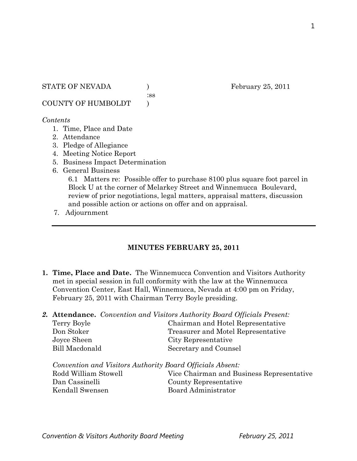:ss

COUNTY OF HUMBOLDT )

### *Contents*

- 1. Time, Place and Date
- 2. Attendance
- 3. Pledge of Allegiance
- 4. Meeting Notice Report
- 5. Business Impact Determination
- 6. General Business

6.1 Matters re: Possible offer to purchase 8100 plus square foot parcel in Block U at the corner of Melarkey Street and Winnemucca Boulevard, review of prior negotiations, legal matters, appraisal matters, discussion and possible action or actions on offer and on appraisal.

7. Adjournment

# **MINUTES FEBRUARY 25, 2011**

- **1. Time, Place and Date.** The Winnemucca Convention and Visitors Authority met in special session in full conformity with the law at the Winnemucca Convention Center, East Hall, Winnemucca, Nevada at 4:00 pm on Friday, February 25, 2011 with Chairman Terry Boyle presiding.
- *2.* **Attendance.** *Convention and Visitors Authority Board Officials Present:*  Terry Boyle Chairman and Hotel Representative Don Stoker Treasurer and Motel Representative Joyce Sheen City Representative Bill Macdonald Secretary and Counsel

*Convention and Visitors Authority Board Officials Absent:*  Rodd William Stowell Vice Chairman and Business Representative Dan Cassinelli County Representative Kendall Swensen Board Administrator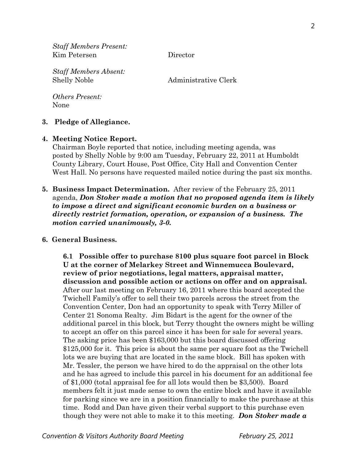*Staff Members Present:*  Kim Petersen Director

*Staff Members Absent:*  Shelly Noble Administrative Clerk

*Others Present:*  None

#### **3. Pledge of Allegiance.**

#### **4. Meeting Notice Report.**

Chairman Boyle reported that notice, including meeting agenda, was posted by Shelly Noble by 9:00 am Tuesday, February 22, 2011 at Humboldt County Library, Court House, Post Office, City Hall and Convention Center West Hall. No persons have requested mailed notice during the past six months.

**5. Business Impact Determination.** After review of the February 25, 2011 agenda, *Don Stoker made a motion that no proposed agenda item is likely to impose a direct and significant economic burden on a business or directly restrict formation, operation, or expansion of a business. The motion carried unanimously, 3-0.* 

#### **6. General Business.**

**6.1 Possible offer to purchase 8100 plus square foot parcel in Block U at the corner of Melarkey Street and Winnemucca Boulevard, review of prior negotiations, legal matters, appraisal matter, discussion and possible action or actions on offer and on appraisal.**  After our last meeting on February 16, 2011 where this board accepted the Twichell Family's offer to sell their two parcels across the street from the Convention Center, Don had an opportunity to speak with Terry Miller of Center 21 Sonoma Realty. Jim Bidart is the agent for the owner of the additional parcel in this block, but Terry thought the owners might be willing to accept an offer on this parcel since it has been for sale for several years. The asking price has been \$163,000 but this board discussed offering \$125,000 for it. This price is about the same per square foot as the Twichell lots we are buying that are located in the same block. Bill has spoken with Mr. Tessler, the person we have hired to do the appraisal on the other lots and he has agreed to include this parcel in his document for an additional fee of \$1,000 (total appraisal fee for all lots would then be \$3,500). Board members felt it just made sense to own the entire block and have it available for parking since we are in a position financially to make the purchase at this time. Rodd and Dan have given their verbal support to this purchase even though they were not able to make it to this meeting. *Don Stoker made a* 

*Convention & Visitors Authority Board Meeting February 25, 2011*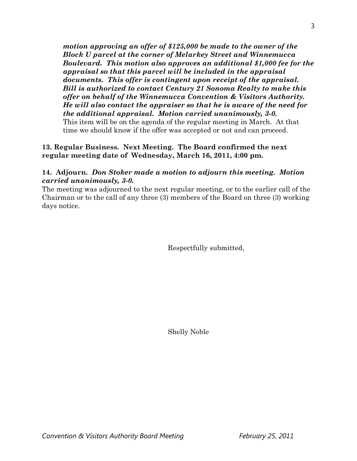*motion approving an offer of \$125,000 be made to the owner of the Block U parcel at the corner of Melarkey Street and Winnemucca Boulevard. This motion also approves an additional \$1,000 fee for the appraisal so that this parcel will be included in the appraisal documents. This offer is contingent upon receipt of the appraisal. Bill is authorized to contact Century 21 Sonoma Realty to make this offer on behalf of the Winnemucca Convention & Visitors Authority. He will also contact the appraiser so that he is aware of the need for the additional appraisal. Motion carried unanimously, 3-0.*  This item will be on the agenda of the regular meeting in March. At that time we should know if the offer was accepted or not and can proceed.

### **13. Regular Business. Next Meeting. The Board confirmed the next regular meeting date of Wednesday, March 16, 2011, 4:00 pm.**

## **14. Adjourn.** *Don Stoker made a motion to adjourn this meeting. Motion carried unanimously, 3-0.*

The meeting was adjourned to the next regular meeting, or to the earlier call of the Chairman or to the call of any three (3) members of the Board on three (3) working days notice.

Respectfully submitted,

Shelly Noble